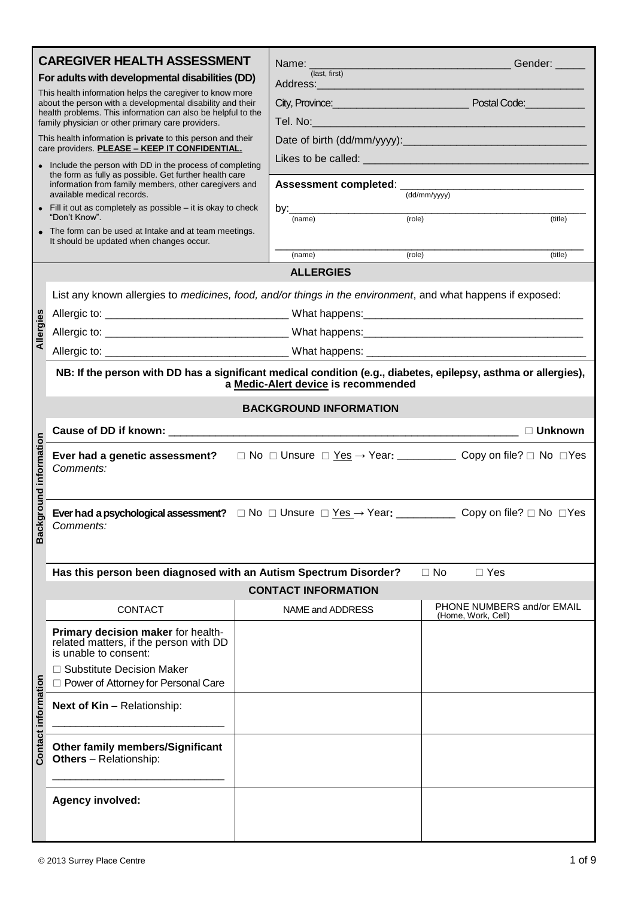|                     | <b>CAREGIVER HEALTH ASSESSMENT</b><br>For adults with developmental disabilities (DD)<br>This health information helps the caregiver to know more<br>about the person with a developmental disability and their<br>health problems. This information can also be helpful to the<br>family physician or other primary care providers.<br>This health information is <b>private</b> to this person and their<br>care providers. PLEASE - KEEP IT CONFIDENTIAL.<br>• Include the person with DD in the process of completing<br>the form as fully as possible. Get further health care<br>information from family members, other caregivers and<br>available medical records.<br>• Fill it out as completely as possible $-$ it is okay to check<br>"Don't Know".<br>• The form can be used at Intake and at team meetings. | (last, first)<br>Address: Andreas Address Andrew Management<br>by: $\frac{1}{(name)}$ | Gender: _____<br>Tel. No: http://www.archive.com/watch?com/watch?com/watch?com/watch?com/watch?com/watch?com/watch?com/watch?com/<br>Assessment completed: (dd/mm/yyyy)<br>(role)<br>(title) |
|---------------------|--------------------------------------------------------------------------------------------------------------------------------------------------------------------------------------------------------------------------------------------------------------------------------------------------------------------------------------------------------------------------------------------------------------------------------------------------------------------------------------------------------------------------------------------------------------------------------------------------------------------------------------------------------------------------------------------------------------------------------------------------------------------------------------------------------------------------|---------------------------------------------------------------------------------------|----------------------------------------------------------------------------------------------------------------------------------------------------------------------------------------------|
|                     | It should be updated when changes occur.                                                                                                                                                                                                                                                                                                                                                                                                                                                                                                                                                                                                                                                                                                                                                                                 | (name)                                                                                | (role)<br>(title)                                                                                                                                                                            |
|                     |                                                                                                                                                                                                                                                                                                                                                                                                                                                                                                                                                                                                                                                                                                                                                                                                                          | <b>ALLERGIES</b>                                                                      |                                                                                                                                                                                              |
| Allergies           | List any known allergies to <i>medicines, food, and/or things in the environment</i> , and what happens if exposed:<br>NB: If the person with DD has a significant medical condition (e.g., diabetes, epilepsy, asthma or allergies),                                                                                                                                                                                                                                                                                                                                                                                                                                                                                                                                                                                    | a Medic-Alert device is recommended                                                   |                                                                                                                                                                                              |
|                     |                                                                                                                                                                                                                                                                                                                                                                                                                                                                                                                                                                                                                                                                                                                                                                                                                          | <b>BACKGROUND INFORMATION</b>                                                         |                                                                                                                                                                                              |
| ground information  | Cause of DD if known: __________                                                                                                                                                                                                                                                                                                                                                                                                                                                                                                                                                                                                                                                                                                                                                                                         |                                                                                       | $\Box$ Unknown                                                                                                                                                                               |
|                     | Ever had a genetic assessment? $\square$ No $\square$ Unsure $\square$ Yes $\rightarrow$ Year: ___________ Copy on file? $\square$ No $\square$ Yes<br>Comments:                                                                                                                                                                                                                                                                                                                                                                                                                                                                                                                                                                                                                                                         |                                                                                       |                                                                                                                                                                                              |
| <b>Back</b>         | Ever had a psychological assessment? $\Box$ No $\Box$ Unsure $\Box$ Yes $\rightarrow$ Year: ____________ Copy on file? $\Box$ No $\Box$ Yes<br>Comments:                                                                                                                                                                                                                                                                                                                                                                                                                                                                                                                                                                                                                                                                 |                                                                                       |                                                                                                                                                                                              |
|                     | Has this person been diagnosed with an Autism Spectrum Disorder?                                                                                                                                                                                                                                                                                                                                                                                                                                                                                                                                                                                                                                                                                                                                                         |                                                                                       | $\Box$ No<br>$\Box$ Yes                                                                                                                                                                      |
|                     |                                                                                                                                                                                                                                                                                                                                                                                                                                                                                                                                                                                                                                                                                                                                                                                                                          | <b>CONTACT INFORMATION</b>                                                            |                                                                                                                                                                                              |
|                     | <b>CONTACT</b>                                                                                                                                                                                                                                                                                                                                                                                                                                                                                                                                                                                                                                                                                                                                                                                                           | NAME and ADDRESS                                                                      | PHONE NUMBERS and/or EMAIL<br>(Home, Work, Cell)                                                                                                                                             |
|                     | Primary decision maker for health-<br>related matters, if the person with DD<br>is unable to consent:<br>$\Box$ Substitute Decision Maker<br>□ Power of Attorney for Personal Care                                                                                                                                                                                                                                                                                                                                                                                                                                                                                                                                                                                                                                       |                                                                                       |                                                                                                                                                                                              |
| Contact information | Next of Kin - Relationship:                                                                                                                                                                                                                                                                                                                                                                                                                                                                                                                                                                                                                                                                                                                                                                                              |                                                                                       |                                                                                                                                                                                              |
|                     | <b>Other family members/Significant</b><br><b>Others</b> - Relationship:                                                                                                                                                                                                                                                                                                                                                                                                                                                                                                                                                                                                                                                                                                                                                 |                                                                                       |                                                                                                                                                                                              |
|                     | <b>Agency involved:</b>                                                                                                                                                                                                                                                                                                                                                                                                                                                                                                                                                                                                                                                                                                                                                                                                  |                                                                                       |                                                                                                                                                                                              |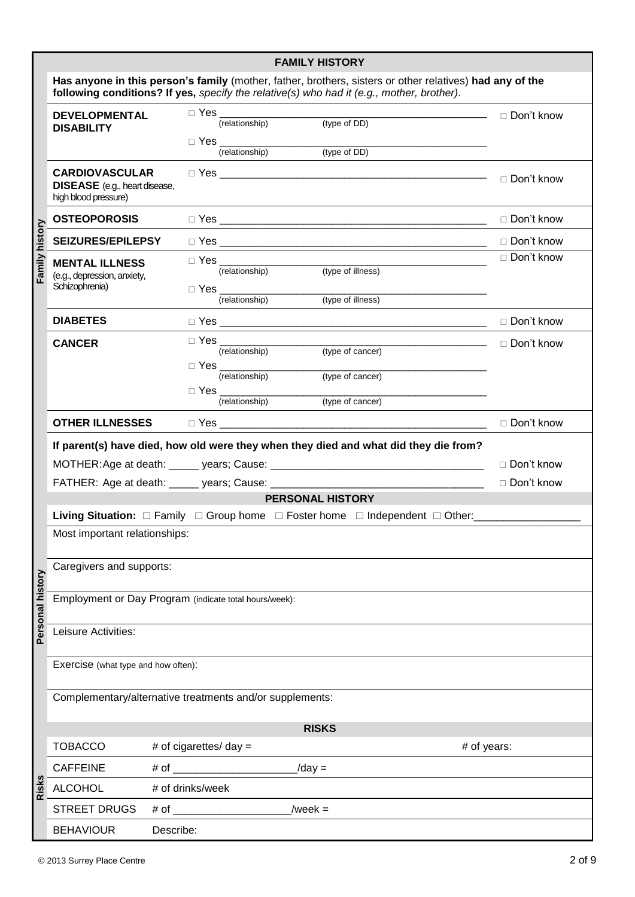|                  |                                                                                                                                                                                                       |                          |                                                                                                                                                        | <b>FAMILY HISTORY</b>                                                                |                                  |  |  |
|------------------|-------------------------------------------------------------------------------------------------------------------------------------------------------------------------------------------------------|--------------------------|--------------------------------------------------------------------------------------------------------------------------------------------------------|--------------------------------------------------------------------------------------|----------------------------------|--|--|
|                  | Has anyone in this person's family (mother, father, brothers, sisters or other relatives) had any of the<br>following conditions? If yes, specify the relative(s) who had it (e.g., mother, brother). |                          |                                                                                                                                                        |                                                                                      |                                  |  |  |
|                  | <b>DEVELOPMENTAL</b><br><b>DISABILITY</b>                                                                                                                                                             |                          | $\Box$ Yes $\_\_\_\_\_\_\_\_\_\_\$<br>(relationship)                                                                                                   | (type of DD)                                                                         | ———————————— □ Don't know        |  |  |
|                  |                                                                                                                                                                                                       |                          | $\begin{tabular}{ c c } \hline $\rhd \text{Yes} \quad \quad \quad & \quad \quad & \quad \quad & \quad \quad \\ \hline \end{tabular}$<br>(relationship) | <u> 1989 - Johann John Stein, fransk politik (f. 1989)</u><br>(type of DD)           |                                  |  |  |
|                  | <b>CARDIOVASCULAR</b><br><b>DISEASE</b> (e.g., heart disease,<br>high blood pressure)                                                                                                                 |                          |                                                                                                                                                        |                                                                                      | □ Don't know                     |  |  |
|                  | <b>OSTEOPOROSIS</b>                                                                                                                                                                                   |                          |                                                                                                                                                        |                                                                                      | □ Don't know                     |  |  |
|                  | <b>SEIZURES/EPILEPSY</b>                                                                                                                                                                              |                          |                                                                                                                                                        |                                                                                      |                                  |  |  |
| Family history   | <b>MENTAL ILLNESS</b><br>(e.g., depression, anxiety,<br>Schizophrenia)                                                                                                                                |                          | (relationship)                                                                                                                                         | (type of illness)                                                                    | □ Don't know                     |  |  |
|                  |                                                                                                                                                                                                       |                          | (relationship)                                                                                                                                         | (type of illness)                                                                    |                                  |  |  |
|                  | <b>DIABETES</b>                                                                                                                                                                                       |                          |                                                                                                                                                        |                                                                                      | □ Don't know                     |  |  |
|                  | <b>CANCER</b>                                                                                                                                                                                         |                          | (relationship)                                                                                                                                         | (type of cancer)                                                                     | ——————————————————— □ Don't know |  |  |
|                  |                                                                                                                                                                                                       |                          |                                                                                                                                                        |                                                                                      |                                  |  |  |
|                  |                                                                                                                                                                                                       | $\Box$ Yes               | (relationship)                                                                                                                                         | (type of cancer)                                                                     |                                  |  |  |
|                  |                                                                                                                                                                                                       |                          | (relationship)                                                                                                                                         | (type of cancer)                                                                     |                                  |  |  |
|                  | <b>OTHER ILLNESSES</b>                                                                                                                                                                                |                          |                                                                                                                                                        |                                                                                      | □ Don't know                     |  |  |
|                  |                                                                                                                                                                                                       |                          |                                                                                                                                                        | If parent(s) have died, how old were they when they died and what did they die from? |                                  |  |  |
|                  |                                                                                                                                                                                                       |                          |                                                                                                                                                        |                                                                                      | □ Don't know                     |  |  |
|                  |                                                                                                                                                                                                       |                          |                                                                                                                                                        |                                                                                      | □ Don't know                     |  |  |
|                  | <b>PERSONAL HISTORY</b>                                                                                                                                                                               |                          |                                                                                                                                                        |                                                                                      |                                  |  |  |
|                  | Living Situation:  □ Family □ Group home □ Foster home □ Independent □ Other:                                                                                                                         |                          |                                                                                                                                                        |                                                                                      |                                  |  |  |
|                  | Most important relationships:                                                                                                                                                                         |                          |                                                                                                                                                        |                                                                                      |                                  |  |  |
|                  | Caregivers and supports:                                                                                                                                                                              |                          |                                                                                                                                                        |                                                                                      |                                  |  |  |
| Personal history | Employment or Day Program (indicate total hours/week):                                                                                                                                                |                          |                                                                                                                                                        |                                                                                      |                                  |  |  |
|                  | Leisure Activities:                                                                                                                                                                                   |                          |                                                                                                                                                        |                                                                                      |                                  |  |  |
|                  | Exercise (what type and how often):                                                                                                                                                                   |                          |                                                                                                                                                        |                                                                                      |                                  |  |  |
|                  | Complementary/alternative treatments and/or supplements:                                                                                                                                              |                          |                                                                                                                                                        |                                                                                      |                                  |  |  |
|                  |                                                                                                                                                                                                       |                          |                                                                                                                                                        |                                                                                      |                                  |  |  |
|                  | <b>TOBACCO</b>                                                                                                                                                                                        | # of cigarettes/ $day =$ |                                                                                                                                                        |                                                                                      | # of years:                      |  |  |
|                  | <b>CAFFEINE</b>                                                                                                                                                                                       | # of                     |                                                                                                                                                        | $/day =$                                                                             |                                  |  |  |
| Risks            | <b>ALCOHOL</b>                                                                                                                                                                                        | # of drinks/week         |                                                                                                                                                        |                                                                                      |                                  |  |  |
|                  | <b>STREET DRUGS</b>                                                                                                                                                                                   | # of                     |                                                                                                                                                        | /week $=$                                                                            |                                  |  |  |
|                  | <b>BEHAVIOUR</b>                                                                                                                                                                                      | Describe:                |                                                                                                                                                        |                                                                                      |                                  |  |  |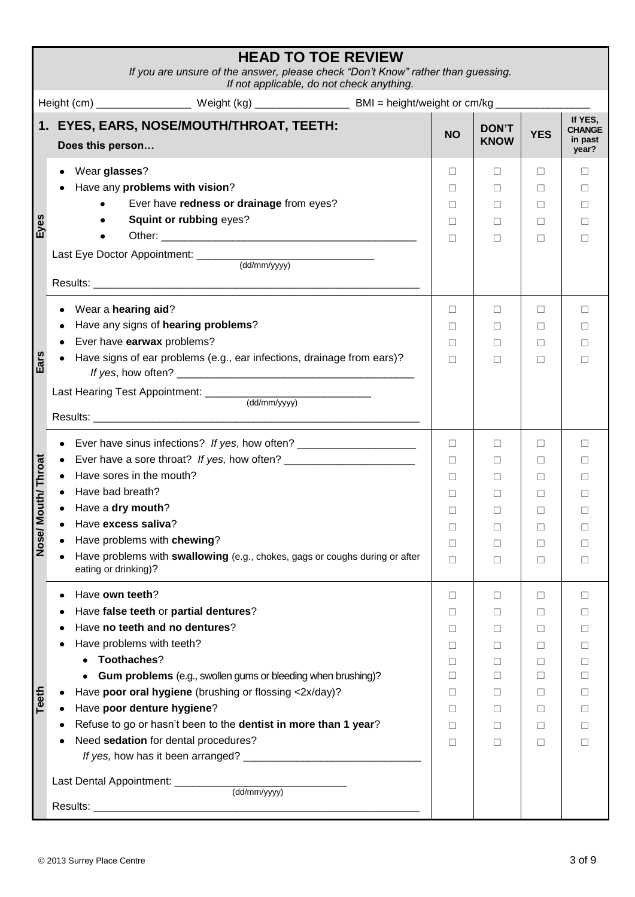| <b>HEAD TO TOE REVIEW</b><br>If you are unsure of the answer, please check "Don't Know" rather than guessing.<br>If not applicable, do not check anything.                                                                                                                                                                                                                                                         |                                                                           |                                                                                       |                                                                         |                                                               |  |  |  |
|--------------------------------------------------------------------------------------------------------------------------------------------------------------------------------------------------------------------------------------------------------------------------------------------------------------------------------------------------------------------------------------------------------------------|---------------------------------------------------------------------------|---------------------------------------------------------------------------------------|-------------------------------------------------------------------------|---------------------------------------------------------------|--|--|--|
| Height (cm) _____________________ Weight (kg) ___________________________________ BMI = height/weight or cm/kg ______________                                                                                                                                                                                                                                                                                      |                                                                           |                                                                                       |                                                                         |                                                               |  |  |  |
| 1. EYES, EARS, NOSE/MOUTH/THROAT, TEETH:<br>Does this person                                                                                                                                                                                                                                                                                                                                                       | <b>NO</b>                                                                 | <b>DON'T</b><br><b>KNOW</b>                                                           | <b>YES</b>                                                              | If YES,<br><b>CHANGE</b><br>in past<br>year?                  |  |  |  |
| Wear glasses?<br>Have any problems with vision?<br>Ever have redness or drainage from eyes?<br>Eyes<br>Squint or rubbing eyes?                                                                                                                                                                                                                                                                                     | $\Box$<br>$\Box$<br>П.<br>П<br>П                                          | $\Box$<br>П<br>П<br>П<br>$\perp$                                                      | $\Box$<br>п<br>П<br>п<br>$\Box$                                         | ΓI<br>$\perp$<br>П<br>$\Box$                                  |  |  |  |
| Wear a hearing aid?<br>Have any signs of hearing problems?<br>Ever have earwax problems?<br>Ears<br>Have signs of ear problems (e.g., ear infections, drainage from ears)?                                                                                                                                                                                                                                         | П<br>П<br>П<br>П                                                          | $\Box$<br>П<br>П<br>П                                                                 | п<br>п<br>П<br>п                                                        | П<br>П<br>$\perp$                                             |  |  |  |
| Ever have sinus infections? If yes, how often? _________________________________<br>outh/Throat<br>Have sores in the mouth?<br>Have bad breath?<br>Have a dry mouth?<br>Nose/M<br>Have excess saliva?<br>Have problems with chewing?<br>Have problems with swallowing (e.g., chokes, gags or coughs during or after<br>eating or drinking)?                                                                        | $\Box$<br>П<br>П<br>$\mathbf{L}$<br>$\Box$<br>П<br>□<br>П                 | П<br>П<br>$\perp$<br>$\perp$<br>$\perp$<br>□<br>□<br>□                                | $\Box$<br>п<br>$\Box$<br>$\Box$<br>$\Box$<br>П<br>П<br>□                | $\Box$<br>П<br>П<br>П<br>П                                    |  |  |  |
| Have own teeth?<br>Have false teeth or partial dentures?<br>Have no teeth and no dentures?<br>Have problems with teeth?<br>Toothaches?<br>Gum problems (e.g., swollen gums or bleeding when brushing)?<br>Teeth<br>Have poor oral hygiene (brushing or flossing <2x/day)?<br>Have poor denture hygiene?<br>Refuse to go or hasn't been to the dentist in more than 1 year?<br>Need sedation for dental procedures? | □<br>$\mathbf{L}$<br>$\mathsf{L}$<br>п<br>П<br>п<br>$\Box$<br>П<br>П<br>□ | $\Box$<br>$\perp$<br>$\perp$<br>□<br>П<br>$\perp$<br>$\perp$<br>$\Box$<br>$\Box$<br>□ | п<br>$\Box$<br>$\Box$<br>□<br>п<br>$\Box$<br>$\Box$<br>□<br>$\Box$<br>П | П<br>$\Box$<br>$\Box$<br>П<br>П<br>П<br>$\Box$<br>П<br>П<br>П |  |  |  |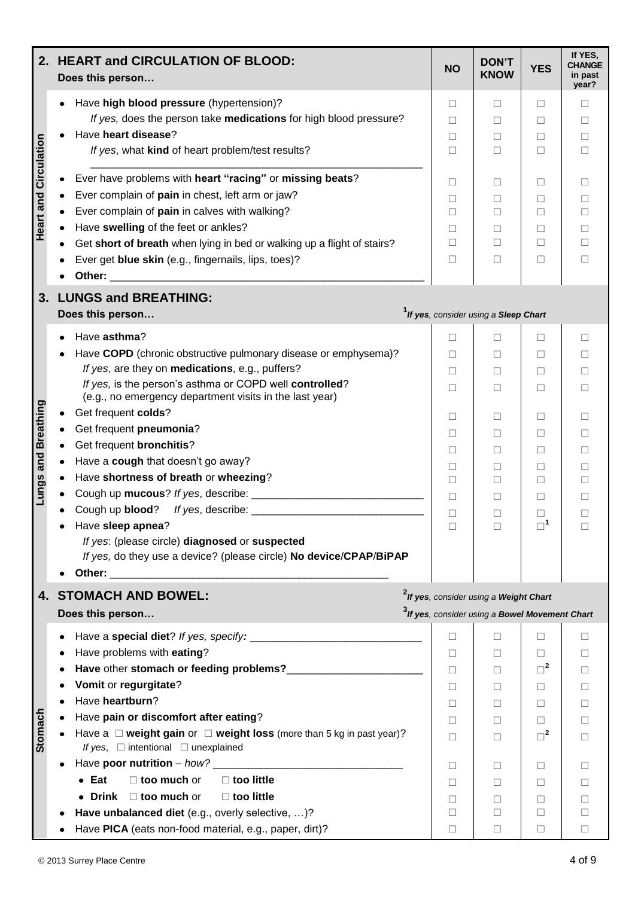| 2.                           | <b>HEART and CIRCULATION OF BLOOD:</b><br>Does this person                                                                                                                                                                                                                                                                                                                                                                                                                                                                                                                                                                                                                                                                                                                                                  | <b>NO</b>                                                               | <b>DON'T</b><br><b>KNOW</b>                                                                                      | <b>YES</b>                                                                                                         | If YES,<br><b>CHANGE</b><br>in past<br>year?                                              |
|------------------------------|-------------------------------------------------------------------------------------------------------------------------------------------------------------------------------------------------------------------------------------------------------------------------------------------------------------------------------------------------------------------------------------------------------------------------------------------------------------------------------------------------------------------------------------------------------------------------------------------------------------------------------------------------------------------------------------------------------------------------------------------------------------------------------------------------------------|-------------------------------------------------------------------------|------------------------------------------------------------------------------------------------------------------|--------------------------------------------------------------------------------------------------------------------|-------------------------------------------------------------------------------------------|
|                              | Have high blood pressure (hypertension)?<br>If yes, does the person take medications for high blood pressure?<br>Have heart disease?<br>If yes, what kind of heart problem/test results?                                                                                                                                                                                                                                                                                                                                                                                                                                                                                                                                                                                                                    | П<br>$\Box$<br>⊔<br>П                                                   | П<br>$\perp$<br>□<br>п                                                                                           | П<br>$\Box$<br>□<br>П                                                                                              | П<br>$\perp$<br>□<br>П                                                                    |
| <b>Heart and Circulation</b> | Ever have problems with heart "racing" or missing beats?<br>Ever complain of pain in chest, left arm or jaw?<br>Ever complain of pain in calves with walking?<br>Have swelling of the feet or ankles?<br>Get short of breath when lying in bed or walking up a flight of stairs?<br>Ever get blue skin (e.g., fingernails, lips, toes)?<br>Other:<br><u> 2001 - Jan Berlin, mars et al. 1989 - Antonio de la contrata de la contrata de la contrata de la contrata de</u>                                                                                                                                                                                                                                                                                                                                   | П<br>$\Box$<br>□<br>$\Box$<br>П<br>□                                    | П<br>П<br>П<br>$\Box$<br>П<br>П                                                                                  | $\mathsf{L}$<br>П<br>П<br>$\mathbf{L}$<br>П<br>□                                                                   | П<br>П<br>П<br>$\Box$<br>П<br>$\Box$                                                      |
| 3.                           | <b>LUNGS and BREATHING:</b><br>Does this person                                                                                                                                                                                                                                                                                                                                                                                                                                                                                                                                                                                                                                                                                                                                                             |                                                                         | <sup>1</sup> If yes, consider using a Sleep Chart                                                                |                                                                                                                    |                                                                                           |
| <b>Lungs and Breathing</b>   | Have asthma?<br>Have COPD (chronic obstructive pulmonary disease or emphysema)?<br>If yes, are they on medications, e.g., puffers?<br>If yes, is the person's asthma or COPD well controlled?<br>(e.g., no emergency department visits in the last year)<br>Get frequent colds?<br>Get frequent pneumonia?<br>Get frequent <b>bronchitis?</b><br>Have a cough that doesn't go away?<br>Have shortness of breath or wheezing?<br>Have sleep apnea?<br>If yes: (please circle) diagnosed or suspected<br>If yes, do they use a device? (please circle) No device/CPAP/BiPAP<br>Other: the contract of the contract of the contract of the contract of the contract of the contract of the contract of the contract of the contract of the contract of the contract of the contract of the contract of the con | П<br>$\Box$<br>П<br>П<br>П<br>$\Box$<br>$\Box$<br>□<br>□<br>П<br>□      | $\perp$<br>⊔<br>П<br>П<br>П<br>$\perp$<br>$\Box$<br>П<br>П<br>$\perp$<br>⊔                                       | $\Box$<br>$\Box$<br>П<br>П<br>П<br>$\mathbf{L}$<br>$\mathbf{L}$<br>□<br>П<br>$\mathbf{L}$<br>$\Box$<br>$\square^1$ | $\Box$<br>$\perp$<br>П<br>П<br>П<br>$\Box$<br>$\Box$<br>П<br>П<br>⊔                       |
| 4.                           | <b>STOMACH AND BOWEL:</b><br>Does this person                                                                                                                                                                                                                                                                                                                                                                                                                                                                                                                                                                                                                                                                                                                                                               |                                                                         | <sup>2</sup> If yes, consider using a Weight Chart<br><sup>3</sup> If yes, consider using a Bowel Movement Chart |                                                                                                                    |                                                                                           |
| Stomach                      | Have problems with eating?<br>Vomit or regurgitate?<br>Have heartburn?<br>Have pain or discomfort after eating?<br>Have a $\Box$ weight gain or $\Box$ weight loss (more than 5 kg in past year)?<br>If yes, $\Box$ intentional $\Box$ unexplained<br>Have poor nutrition – $how?$<br>$\Box$ too little<br>$\bullet$ Eat<br>$\Box$ too much or<br>• Drink $\Box$ too much or<br>$\Box$ too little<br>Have unbalanced diet (e.g., overly selective, )?                                                                                                                                                                                                                                                                                                                                                       | □<br>П<br>П<br>П<br>$\Box$<br>П<br>$\Box$<br>$\Box$<br>П<br>П<br>$\Box$ | П<br>П<br>$\Box$<br>П<br>П<br>п<br>$\perp$<br>$\perp$<br>П<br>П<br>П                                             | п<br>$\Box$<br>$\Box^2$<br>П<br>□<br>П<br>$\Box^2$<br>$\mathbf{L}$<br>П<br>П<br>$\Box$                             | П<br>$\perp$<br>$\Box$<br>П<br>П<br>П<br>$\perp$<br>$\Box$<br>$\mathsf{L}$<br>П<br>$\Box$ |
|                              | Have PICA (eats non-food material, e.g., paper, dirt)?                                                                                                                                                                                                                                                                                                                                                                                                                                                                                                                                                                                                                                                                                                                                                      | П                                                                       | $\Box$                                                                                                           | ⊔                                                                                                                  | □                                                                                         |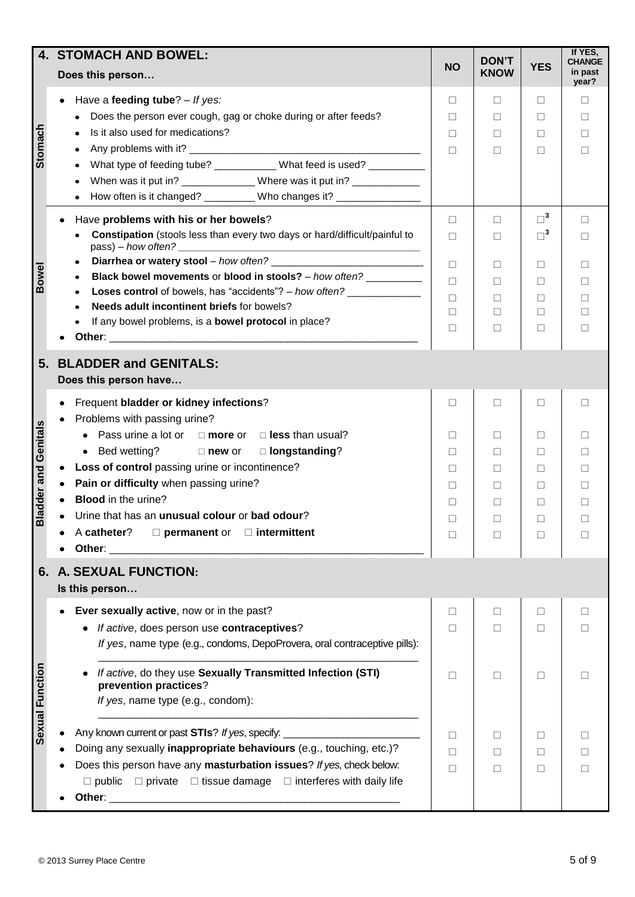|                             | <b>4. STOMACH AND BOWEL:</b>                                                                       |           | <b>DON'T</b>      |             | If YES,<br><b>CHANGE</b> |
|-----------------------------|----------------------------------------------------------------------------------------------------|-----------|-------------------|-------------|--------------------------|
|                             | Does this person                                                                                   | <b>NO</b> | <b>KNOW</b>       | <b>YES</b>  | in past<br>year?         |
|                             | Have a feeding tube? - If yes:<br>٠                                                                | □         | □                 | $\Box$      | □                        |
|                             | Does the person ever cough, gag or choke during or after feeds?                                    | п         | $\Box$            | $\Box$      | □                        |
| Stomach                     | Is it also used for medications?<br>$\bullet$                                                      | □         | $\Box$            | $\Box$      | □                        |
|                             | $\bullet$                                                                                          | $\Box$    | П                 | П           | П                        |
|                             | What type of feeding tube? ____________ What feed is used? __________<br>$\bullet$                 |           |                   |             |                          |
|                             | When was it put in? _______________Where was it put in? _____________                              |           |                   |             |                          |
|                             |                                                                                                    |           |                   |             |                          |
|                             | How often is it changed? __________ Who changes it? _______________<br>$\bullet$                   |           |                   |             |                          |
|                             | Have problems with his or her bowels?                                                              | $\Box$    | П                 | $\square^3$ | П                        |
|                             | Constipation (stools less than every two days or hard/difficult/painful to<br>$pass) - how often?$ | П         | П                 | $\Box^3$    | □                        |
|                             | ٠                                                                                                  | $\Box$    | П                 | $\Box$      | П                        |
| <b>Bowel</b>                | Black bowel movements or blood in stools? - how often?<br>$\bullet$                                | П         | П                 | □           | $\Box$                   |
|                             | Loses control of bowels, has "accidents"? - how often?<br>٠                                        | П.        | П                 |             | П                        |
|                             | Needs adult incontinent briefs for bowels?                                                         | $\Box$    | □                 | □<br>□      | □                        |
|                             | If any bowel problems, is a <b>bowel protocol</b> in place?                                        | $\Box$    |                   |             | П                        |
|                             |                                                                                                    |           | □                 | $\Box$      |                          |
|                             |                                                                                                    |           |                   |             |                          |
| 5.                          | <b>BLADDER and GENITALS:</b><br>Does this person have                                              |           |                   |             |                          |
|                             | Frequent bladder or kidney infections?                                                             | □         | П                 | $\Box$      | $\Box$                   |
|                             | Problems with passing urine?                                                                       |           |                   |             |                          |
| <b>Sladder and Genitals</b> |                                                                                                    |           |                   |             |                          |
|                             | Pass urine a lot or $\Box$ more or $\Box$ less than usual?                                         | $\perp$   | $\perp$           | $\Box$      | $\Box$                   |
|                             | • Bed wetting? $\Box$ new or $\Box$ longstanding?                                                  | □         | $\Box$            | □           | П                        |
|                             | Loss of control passing urine or incontinence?                                                     | п         | П                 | $\Box$      | П                        |
|                             | Pain or difficulty when passing urine?                                                             | П         | $\perp$           | П           | $\mathsf{L}$             |
|                             | <b>Blood</b> in the urine?                                                                         | ⊔         | $\Box$            | ⊔           | $\Box$                   |
|                             | Urine that has an unusual colour or bad odour?                                                     | $\Box$    | $\vert \ \ \vert$ | ш           | L                        |
|                             | A catheter?<br>$\square$ permanent or<br>$\Box$ intermittent                                       | $\Box$    | $\Box$            | $\Box$      | П                        |
|                             | Other:                                                                                             |           |                   |             |                          |
| 6.                          | A. SEXUAL FUNCTION:                                                                                |           |                   |             |                          |
|                             | Is this person                                                                                     |           |                   |             |                          |
|                             | Ever sexually active, now or in the past?                                                          | $\Box$    | □                 | $\Box$      | П                        |
|                             | If active, does person use contraceptives?                                                         | □         | П                 | П           | □                        |
|                             | If yes, name type (e.g., condoms, DepoProvera, oral contraceptive pills):                          |           |                   |             |                          |
| Sexual Function             | If active, do they use Sexually Transmitted Infection (STI)<br>prevention practices?               | $\Box$    | □                 | $\Box$      | □                        |
|                             | If yes, name type (e.g., condom):                                                                  |           |                   |             |                          |
|                             | Any known current or past STIs? If yes, specify:                                                   | П         | $\perp$           | П           | $\Box$                   |
|                             | Doing any sexually inappropriate behaviours (e.g., touching, etc.)?                                | П         | □                 | $\Box$      | П                        |
|                             | Does this person have any masturbation issues? If yes, check below:                                |           |                   |             |                          |
|                             | $\Box$ private $\Box$ tissue damage $\Box$ interferes with daily life<br>$\square$ public          | $\Box$    | □                 | $\Box$      | П                        |
|                             |                                                                                                    |           |                   |             |                          |
|                             |                                                                                                    |           |                   |             |                          |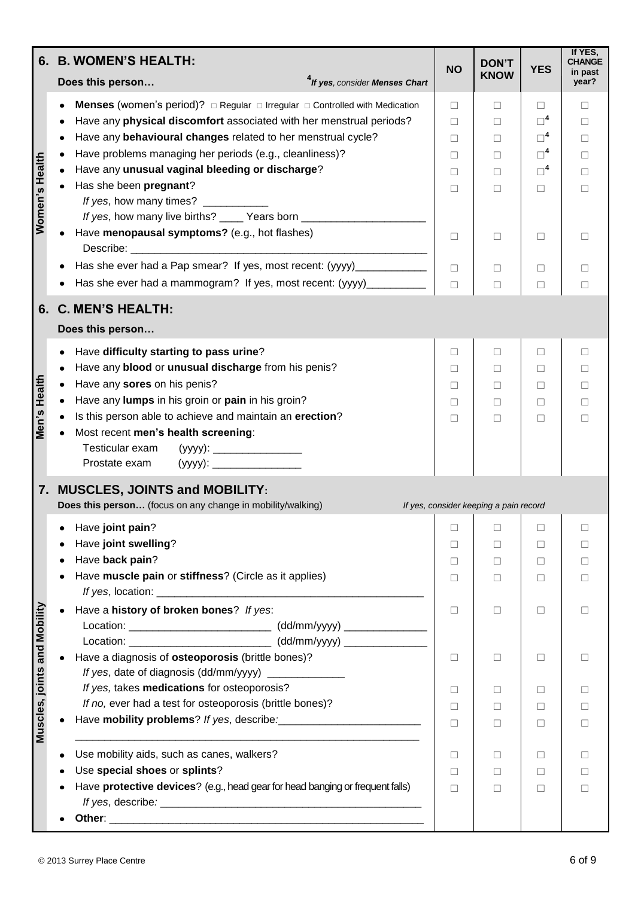|                              | 6. B. WOMEN'S HEALTH:                                                                                                                                                                                                                                                                                                                                  | <b>NO</b>                                   | <b>DON'T</b>                           | <b>YES</b>                                  | If YES,<br>CHANGE                      |
|------------------------------|--------------------------------------------------------------------------------------------------------------------------------------------------------------------------------------------------------------------------------------------------------------------------------------------------------------------------------------------------------|---------------------------------------------|----------------------------------------|---------------------------------------------|----------------------------------------|
|                              | <sup>4</sup> If yes, consider Menses Chart<br>Does this person                                                                                                                                                                                                                                                                                         |                                             | <b>KNOW</b>                            |                                             | in past<br>year?                       |
| Women's Health               | <b>Menses</b> (women's period)? $\Box$ Regular $\Box$ Irregular $\Box$ Controlled with Medication<br>Have any physical discomfort associated with her menstrual periods?<br>Have any behavioural changes related to her menstrual cycle?<br>Have problems managing her periods (e.g., cleanliness)?<br>Have any unusual vaginal bleeding or discharge? | $\Box$<br>$\Box$<br>П<br>$\perp$            | П<br>П<br>П<br>$\Box$                  | п<br>$\square^4$<br>$\Box^4$<br>$\Box^4$    | П<br>$\Box$<br>П<br>$\perp$            |
|                              | Has she been pregnant?<br>If yes, how many times? ___________<br>If yes, how many live births? ____ Years born _______________________<br>Have menopausal symptoms? (e.g., hot flashes)                                                                                                                                                                | П<br>П<br>$\Box$                            | П<br>П<br>$\Box$                       | $\Box^4$<br>$\Box$<br>□                     | П<br>П<br>П                            |
|                              | Has she ever had a Pap smear? If yes, most recent: (yyyy)_____________<br>Has she ever had a mammogram? If yes, most recent: (yyyy)___________                                                                                                                                                                                                         | $\Box$<br>$\Box$                            | □<br>$\Box$                            | □<br>□                                      | П<br>П                                 |
|                              | 6. C. MEN'S HEALTH:                                                                                                                                                                                                                                                                                                                                    |                                             |                                        |                                             |                                        |
|                              | Does this person                                                                                                                                                                                                                                                                                                                                       |                                             |                                        |                                             |                                        |
| Men's Health                 | Have difficulty starting to pass urine?<br>Have any blood or unusual discharge from his penis?<br>Have any sores on his penis?<br>Have any lumps in his groin or pain in his groin?<br>Is this person able to achieve and maintain an erection?<br>Most recent men's health screening:<br>Testicular exam<br>Prostate exam                             | $\Box$<br>П<br>$\perp$<br>$\perp$<br>$\Box$ | $\Box$<br>П<br>$\Box$<br>$\Box$<br>П   | □<br>$\Box$<br>$\Box$<br>⊔<br>п             | П<br>$\Box$<br>$\perp$<br>$\perp$<br>П |
|                              | 7. MUSCLES, JOINTS and MOBILITY:<br>Does this person (focus on any change in mobility/walking)                                                                                                                                                                                                                                                         |                                             | If yes, consider keeping a pain record |                                             |                                        |
|                              | Have joint pain?<br>Have joint swelling?<br>Have back pain?<br>Have muscle pain or stiffness? (Circle as it applies)                                                                                                                                                                                                                                   | ⊔<br>$\perp$<br>⊔<br>□                      | □<br>$\Box$<br>$\Box$<br>⊔             | $\mathbf{L}$<br>$\mathbf{L}$<br>$\Box$<br>□ | $\perp$<br>$\Box$                      |
|                              | Have a history of broken bones? If yes:<br>Location: _________________________________ (dd/mm/yyyy) ________________<br>Location: ___________________________________ (dd/mm/yyyy) _____________________                                                                                                                                               | $\Box$                                      | □                                      | □                                           | $\perp$                                |
|                              | Have a diagnosis of osteoporosis (brittle bones)?<br>If yes, date of diagnosis (dd/mm/yyyy) ______________                                                                                                                                                                                                                                             | $\Box$                                      | $\Box$                                 | □                                           | П                                      |
| Muscles, joints and Mobility | If yes, takes medications for osteoporosis?<br>If no, ever had a test for osteoporosis (brittle bones)?                                                                                                                                                                                                                                                | $\Box$<br>$\Box$<br>П                       | □<br>П<br>$\perp$                      | □<br>□<br>$\Box$                            | П<br>П<br>$\perp$                      |
|                              | Use mobility aids, such as canes, walkers?<br>Use special shoes or splints?<br>Have protective devices? (e.g., head gear for head banging or frequent falls)                                                                                                                                                                                           | $\Box$<br>⊔<br>П                            | П<br>$\perp$<br>$\perp$                | П<br>$\Box$<br>$\mathbf{L}$                 | $\perp$                                |
|                              |                                                                                                                                                                                                                                                                                                                                                        |                                             |                                        |                                             |                                        |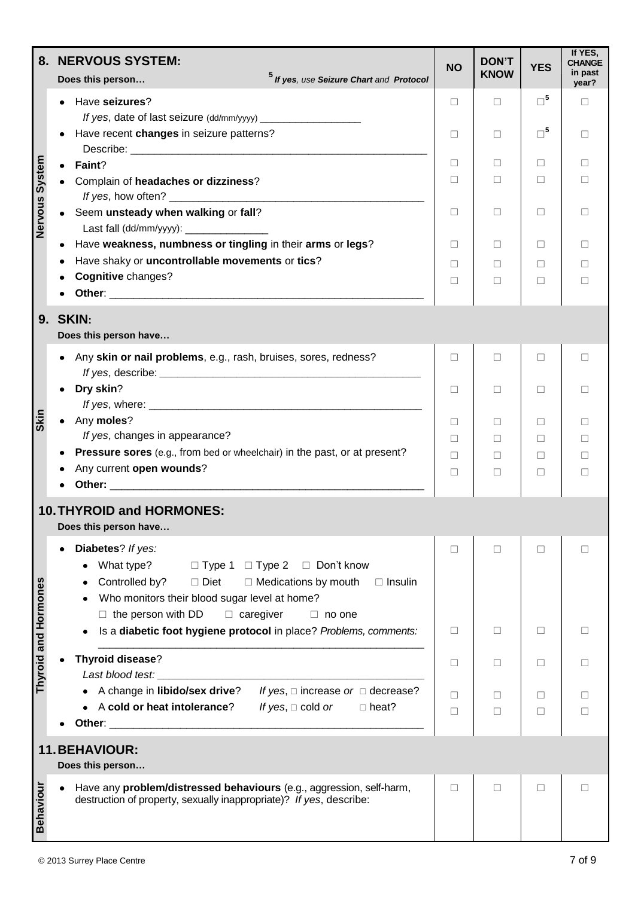|                      | 8. NERVOUS SYSTEM:<br><sup>5</sup> If yes, use Seizure Chart and Protocol<br>Does this person                                                                                                                                                                                    | <b>NO</b>          | <b>DON'T</b><br><b>KNOW</b> | <b>YES</b>       | If YES,<br><b>CHANGE</b><br>in past<br>year? |
|----------------------|----------------------------------------------------------------------------------------------------------------------------------------------------------------------------------------------------------------------------------------------------------------------------------|--------------------|-----------------------------|------------------|----------------------------------------------|
|                      | Have seizures?                                                                                                                                                                                                                                                                   | $\Box$             | $\Box$                      | $\square^5$      | П                                            |
|                      | Have recent changes in seizure patterns?                                                                                                                                                                                                                                         | $\Box$             | $\Box$                      | $\Box^5$         | П                                            |
|                      | Faint?<br>$\bullet$<br>Complain of headaches or dizziness?                                                                                                                                                                                                                       | П<br>$\Box$        | $\perp$<br>П                | п<br>□           | $\Box$<br>П                                  |
| Nervous System       | Seem unsteady when walking or fall?<br>$\bullet$                                                                                                                                                                                                                                 | □                  | ⊔                           | ⊔                | $\Box$                                       |
|                      | Last fall (dd/mm/yyyy): __________________<br>Have weakness, numbness or tingling in their arms or legs?<br>$\bullet$                                                                                                                                                            | ⊔                  | ⊔                           | ⊔                | $\Box$                                       |
|                      | Have shaky or uncontrollable movements or tics?<br>Cognitive changes?                                                                                                                                                                                                            | $\perp$<br>$\perp$ | $\perp$<br>$\perp$          | $\Box$<br>$\Box$ | $\mathbf{I}$<br>$\Box$                       |
|                      | <b>9. SKIN:</b><br>Does this person have                                                                                                                                                                                                                                         |                    |                             |                  |                                              |
|                      | Any skin or nail problems, e.g., rash, bruises, sores, redness?                                                                                                                                                                                                                  | □                  | $\Box$                      | $\Box$           | $\Box$                                       |
|                      | Dry skin?                                                                                                                                                                                                                                                                        | $\Box$             | $\Box$                      | □                | П                                            |
| <b>Skin</b>          | Any moles?<br>If yes, changes in appearance?                                                                                                                                                                                                                                     | □<br>$\Box$        | П<br>П                      | $\Box$<br>□      | $\Box$<br>$\Box$                             |
|                      | Pressure sores (e.g., from bed or wheelchair) in the past, or at present?<br>Any current open wounds?                                                                                                                                                                            | П<br>П             | $\perp$<br>$\perp$          | $\Box$<br>$\Box$ | $\Box$<br>П                                  |
|                      | <b>10. THYROID and HORMONES:</b><br>Does this person have                                                                                                                                                                                                                        |                    |                             |                  |                                              |
| Thyroid and Hormones | Diabetes? If yes:<br>What type?<br>$\Box$ Type 1 $\Box$ Type 2 $\Box$ Don't know<br>Controlled by?<br>□ Diet<br>$\Box$ Medications by mouth<br>$\Box$ Insulin<br>Who monitors their blood sugar level at home?<br>$\Box$ the person with DD<br>$\Box$ caregiver<br>$\Box$ no one | ⊔                  | $\perp$                     | $\Box$           | $\Box$                                       |
|                      | Is a diabetic foot hygiene protocol in place? Problems, comments:                                                                                                                                                                                                                | ⊔                  | П                           | $\Box$           | П                                            |
|                      | Thyroid disease?<br>Last blood test:                                                                                                                                                                                                                                             | $\Box$             | П                           | $\Box$           | П                                            |
|                      | • A change in libido/sex drive?<br>If yes, $\square$ increase or $\square$ decrease?<br>A cold or heat intolerance?<br>If yes, $\Box$ cold or<br>$\Box$ heat?                                                                                                                    | П<br>П             | П<br>П                      | $\Box$<br>⊔      | П<br>П                                       |
|                      | <b>11. BEHAVIOUR:</b><br>Does this person                                                                                                                                                                                                                                        |                    |                             |                  |                                              |
| <b>Behaviour</b>     | Have any problem/distressed behaviours (e.g., aggression, self-harm,<br>destruction of property, sexually inappropriate)? If yes, describe:                                                                                                                                      | П                  | П                           | П                | П                                            |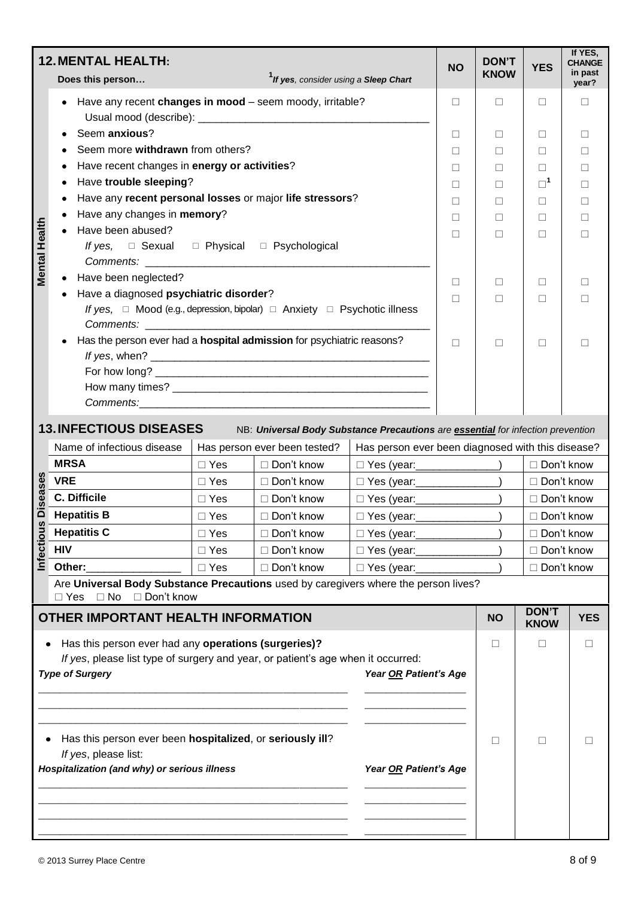|                                                                                                                                                                                                                 | <b>12. MENTAL HEALTH:</b><br>Does this person                                                                                                              |               | <sup>1</sup> If yes, consider using a Sleep Chart                                                               |                                                   | <b>NO</b> | <b>DON'T</b><br><b>KNOW</b> | <b>YES</b>                  | If YES,<br><b>CHANGE</b><br>in past<br>year? |
|-----------------------------------------------------------------------------------------------------------------------------------------------------------------------------------------------------------------|------------------------------------------------------------------------------------------------------------------------------------------------------------|---------------|-----------------------------------------------------------------------------------------------------------------|---------------------------------------------------|-----------|-----------------------------|-----------------------------|----------------------------------------------|
|                                                                                                                                                                                                                 | Have any recent changes in mood - seem moody, irritable?                                                                                                   |               |                                                                                                                 |                                                   | $\Box$    | □                           | □                           | П                                            |
|                                                                                                                                                                                                                 | Seem anxious?                                                                                                                                              |               |                                                                                                                 |                                                   |           |                             | □                           | □                                            |
|                                                                                                                                                                                                                 | Seem more withdrawn from others?                                                                                                                           |               |                                                                                                                 |                                                   |           | $\Box$                      | П                           | П                                            |
|                                                                                                                                                                                                                 | Have recent changes in energy or activities?                                                                                                               |               |                                                                                                                 |                                                   |           | $\Box$                      | $\Box$                      | $\Box$                                       |
|                                                                                                                                                                                                                 | Have trouble sleeping?                                                                                                                                     |               |                                                                                                                 |                                                   |           | П                           | $\square^1$                 | □                                            |
|                                                                                                                                                                                                                 | Have any recent personal losses or major life stressors?                                                                                                   |               |                                                                                                                 |                                                   |           | П                           | $\Box$                      | □                                            |
|                                                                                                                                                                                                                 | Have any changes in memory?                                                                                                                                |               |                                                                                                                 |                                                   | $\Box$    | П                           | П                           | П                                            |
| <b>Mental Health</b>                                                                                                                                                                                            | Have been abused?<br>If yes, $\square$ Sexual $\square$ Physical $\square$ Psychological                                                                   |               |                                                                                                                 |                                                   | $\Box$    | $\perp$                     | П                           | П                                            |
|                                                                                                                                                                                                                 | Have been neglected?                                                                                                                                       |               |                                                                                                                 |                                                   | П         |                             |                             |                                              |
|                                                                                                                                                                                                                 | Have a diagnosed psychiatric disorder?                                                                                                                     |               |                                                                                                                 |                                                   |           | $\perp$                     | П                           | $\Box$                                       |
|                                                                                                                                                                                                                 | If yes, $\Box$ Mood (e.g., depression, bipolar) $\Box$ Anxiety $\Box$ Psychotic illness                                                                    |               |                                                                                                                 |                                                   | $\Box$    | П                           | П                           | $\Box$                                       |
|                                                                                                                                                                                                                 | Has the person ever had a hospital admission for psychiatric reasons?<br>$\Box$                                                                            |               |                                                                                                                 |                                                   |           |                             | □                           | П                                            |
|                                                                                                                                                                                                                 |                                                                                                                                                            |               |                                                                                                                 |                                                   |           |                             |                             |                                              |
|                                                                                                                                                                                                                 |                                                                                                                                                            |               |                                                                                                                 |                                                   |           |                             |                             |                                              |
|                                                                                                                                                                                                                 |                                                                                                                                                            |               |                                                                                                                 |                                                   |           |                             |                             |                                              |
|                                                                                                                                                                                                                 | <b>13. INFECTIOUS DISEASES</b><br>Name of infectious disease                                                                                               |               | NB: Universal Body Substance Precautions are essential for infection prevention<br>Has person ever been tested? | Has person ever been diagnosed with this disease? |           |                             |                             |                                              |
|                                                                                                                                                                                                                 | <b>MRSA</b>                                                                                                                                                | $\Box$ Yes    | □ Don't know                                                                                                    | □ Yes (year: _______________)                     |           |                             | □ Don't know                |                                              |
|                                                                                                                                                                                                                 | <b>VRE</b>                                                                                                                                                 | $\Box$ Yes    | □ Don't know                                                                                                    | □ Yes (year: _______________)                     |           |                             | □ Don't know                |                                              |
| <b>Diseases</b>                                                                                                                                                                                                 | C. Difficile                                                                                                                                               | $\Box$ Yes    | $\Box$ Don't know                                                                                               | □ Yes (year: _______________)                     |           |                             | □ Don't know                |                                              |
|                                                                                                                                                                                                                 | <b>Hepatitis B</b>                                                                                                                                         | $\square$ Yes | □ Don't know                                                                                                    | D Yes (year: 1999)                                |           |                             | □ Don't know                |                                              |
|                                                                                                                                                                                                                 | <b>Hepatitis C</b>                                                                                                                                         | $\Box$ Yes    | □ Don't know                                                                                                    | □ Yes (year: _____________                        |           | □ Don't know                |                             |                                              |
| Infectious                                                                                                                                                                                                      | <b>HIV</b>                                                                                                                                                 | $\Box$ Yes    | □ Don't know                                                                                                    | □ Yes (year:                                      |           |                             | □ Don't know                |                                              |
|                                                                                                                                                                                                                 | Other:                                                                                                                                                     | $\Box$ Yes    | □ Don't know                                                                                                    | □ Yes (year:                                      |           |                             | □ Don't know                |                                              |
|                                                                                                                                                                                                                 | Are Universal Body Substance Precautions used by caregivers where the person lives?<br>$\Box$ Yes $\Box$ No $\Box$ Don't know                              |               |                                                                                                                 |                                                   |           |                             |                             |                                              |
|                                                                                                                                                                                                                 | OTHER IMPORTANT HEALTH INFORMATION                                                                                                                         |               |                                                                                                                 |                                                   |           | <b>NO</b>                   | <b>DON'T</b><br><b>KNOW</b> | <b>YES</b>                                   |
| Has this person ever had any operations (surgeries)?<br>□<br>□<br>٠<br>⊔<br>If yes, please list type of surgery and year, or patient's age when it occurred:<br><b>Type of Surgery</b><br>Year OR Patient's Age |                                                                                                                                                            |               |                                                                                                                 |                                                   |           |                             |                             |                                              |
|                                                                                                                                                                                                                 | Has this person ever been hospitalized, or seriously ill?<br>If yes, please list:<br>Hospitalization (and why) or serious illness<br>Year OR Patient's Age |               |                                                                                                                 |                                                   |           | $\Box$                      | □                           | П                                            |